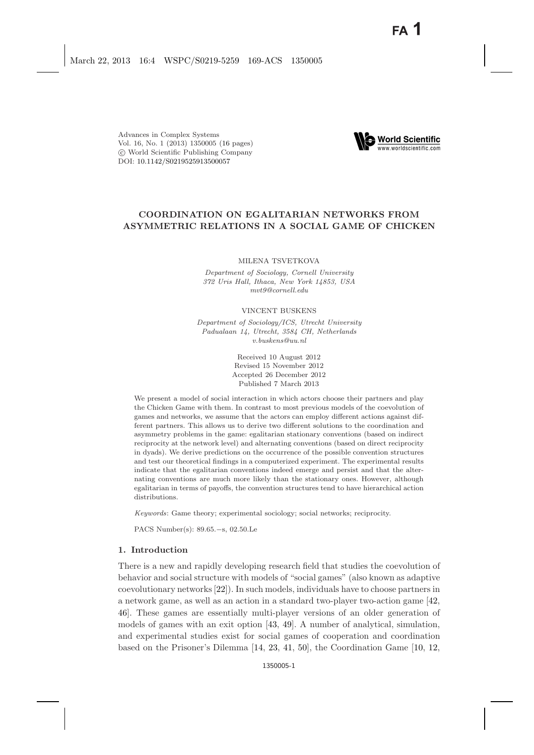

# **COORDINATION ON EGALITARIAN NETWORKS FROM ASYMMETRIC RELATIONS IN A SOCIAL GAME OF CHICKEN**

MILENA TSVETKOVA

*Department of Sociology, Cornell University 372 Uris Hall, Ithaca, New York 14853, USA mvt9@cornell.edu*

VINCENT BUSKENS

*Department of Sociology/ICS, Utrecht University Padualaan 14, Utrecht, 3584 CH, Netherlands v.buskens@uu.nl*

> Received 10 August 2012 Revised 15 November 2012 Accepted 26 December 2012 Published 7 March 2013

We present a model of social interaction in which actors choose their partners and play the Chicken Game with them. In contrast to most previous models of the coevolution of games and networks, we assume that the actors can employ different actions against different partners. This allows us to derive two different solutions to the coordination and asymmetry problems in the game: egalitarian stationary conventions (based on indirect reciprocity at the network level) and alternating conventions (based on direct reciprocity in dyads). We derive predictions on the occurrence of the possible convention structures and test our theoretical findings in a computerized experiment. The experimental results indicate that the egalitarian conventions indeed emerge and persist and that the alternating conventions are much more likely than the stationary ones. However, although egalitarian in terms of payoffs, the convention structures tend to have hierarchical action distributions.

*Keywords*: Game theory; experimental sociology; social networks; reciprocity.

PACS Number(s): 89.65.−s, 02.50.Le

# **1. Introduction**

There is a new and rapidly developing research field that studies the coevolution of behavior and social structure with models of "social games" (also known as adaptive coevolutionary networks [22]). In such models, individuals have to choose partners in a network game, as well as an action in a standard two-player two-action game [42, 46]. These games are essentially multi-player versions of an older generation of models of games with an exit option [43, 49]. A number of analytical, simulation, and experimental studies exist for social games of cooperation and coordination based on the Prisoner's Dilemma [14, 23, 41, 50], the Coordination Game [10, 12,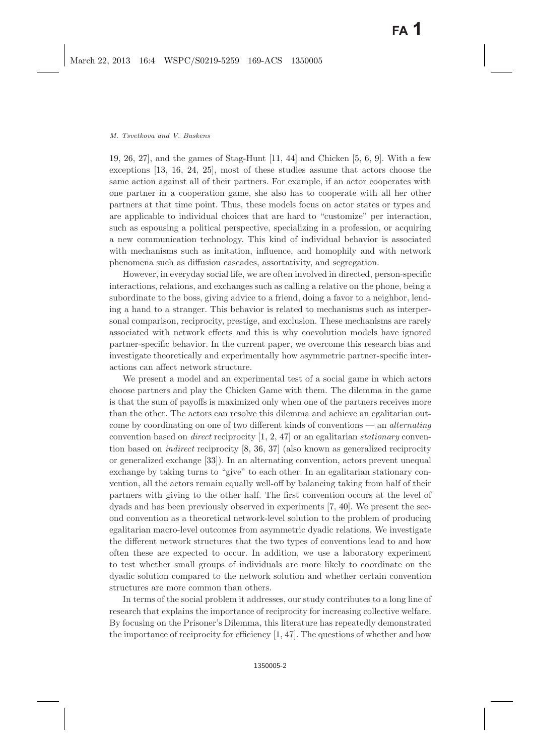19, 26, 27], and the games of Stag-Hunt [11, 44] and Chicken [5, 6, 9]. With a few exceptions [13, 16, 24, 25], most of these studies assume that actors choose the same action against all of their partners. For example, if an actor cooperates with one partner in a cooperation game, she also has to cooperate with all her other partners at that time point. Thus, these models focus on actor states or types and are applicable to individual choices that are hard to "customize" per interaction, such as espousing a political perspective, specializing in a profession, or acquiring a new communication technology. This kind of individual behavior is associated with mechanisms such as imitation, influence, and homophily and with network phenomena such as diffusion cascades, assortativity, and segregation.

However, in everyday social life, we are often involved in directed, person-specific interactions, relations, and exchanges such as calling a relative on the phone, being a subordinate to the boss, giving advice to a friend, doing a favor to a neighbor, lending a hand to a stranger. This behavior is related to mechanisms such as interpersonal comparison, reciprocity, prestige, and exclusion. These mechanisms are rarely associated with network effects and this is why coevolution models have ignored partner-specific behavior. In the current paper, we overcome this research bias and investigate theoretically and experimentally how asymmetric partner-specific interactions can affect network structure.

We present a model and an experimental test of a social game in which actors choose partners and play the Chicken Game with them. The dilemma in the game is that the sum of payoffs is maximized only when one of the partners receives more than the other. The actors can resolve this dilemma and achieve an egalitarian outcome by coordinating on one of two different kinds of conventions — an *alternating* convention based on *direct* reciprocity [1, 2, 47] or an egalitarian *stationary* convention based on *indirect* reciprocity [8, 36, 37] (also known as generalized reciprocity or generalized exchange [33]). In an alternating convention, actors prevent unequal exchange by taking turns to "give" to each other. In an egalitarian stationary convention, all the actors remain equally well-off by balancing taking from half of their partners with giving to the other half. The first convention occurs at the level of dyads and has been previously observed in experiments [7, 40]. We present the second convention as a theoretical network-level solution to the problem of producing egalitarian macro-level outcomes from asymmetric dyadic relations. We investigate the different network structures that the two types of conventions lead to and how often these are expected to occur. In addition, we use a laboratory experiment to test whether small groups of individuals are more likely to coordinate on the dyadic solution compared to the network solution and whether certain convention structures are more common than others.

In terms of the social problem it addresses, our study contributes to a long line of research that explains the importance of reciprocity for increasing collective welfare. By focusing on the Prisoner's Dilemma, this literature has repeatedly demonstrated the importance of reciprocity for efficiency [1, 47]. The questions of whether and how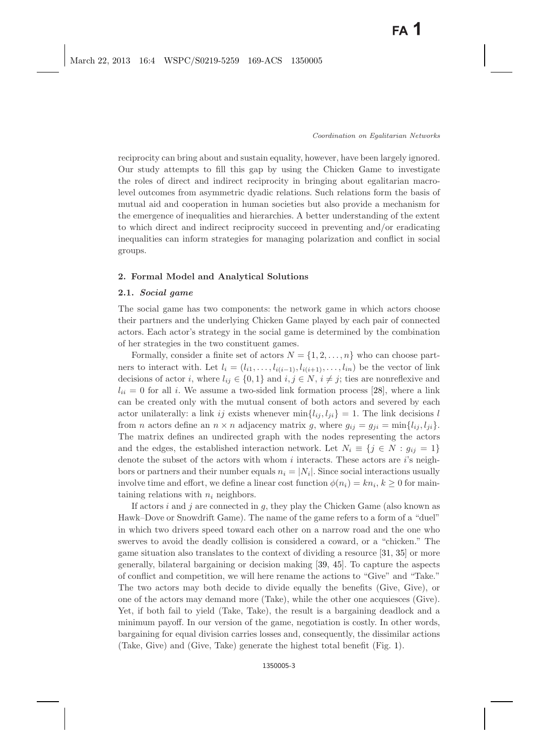reciprocity can bring about and sustain equality, however, have been largely ignored. Our study attempts to fill this gap by using the Chicken Game to investigate the roles of direct and indirect reciprocity in bringing about egalitarian macrolevel outcomes from asymmetric dyadic relations. Such relations form the basis of mutual aid and cooperation in human societies but also provide a mechanism for the emergence of inequalities and hierarchies. A better understanding of the extent to which direct and indirect reciprocity succeed in preventing and/or eradicating inequalities can inform strategies for managing polarization and conflict in social groups.

#### **2. Formal Model and Analytical Solutions**

#### **2.1.** *Social game*

The social game has two components: the network game in which actors choose their partners and the underlying Chicken Game played by each pair of connected actors. Each actor's strategy in the social game is determined by the combination of her strategies in the two constituent games.

Formally, consider a finite set of actors  $N = \{1, 2, ..., n\}$  who can choose partners to interact with. Let  $l_i = (l_{i1}, \ldots, l_{i(i-1)}, l_{i(i+1)}, \ldots, l_{in})$  be the vector of link decisions of actor *i*, where  $l_{ij} \in \{0,1\}$  and  $i, j \in N$ ,  $i \neq j$ ; ties are nonreflexive and  $l_{ii} = 0$  for all i. We assume a two-sided link formation process [28], where a link can be created only with the mutual consent of both actors and severed by each actor unilaterally: a link ij exists whenever  $\min\{l_{ij}, l_{ji}\} = 1$ . The link decisions l from *n* actors define an  $n \times n$  adjacency matrix g, where  $g_{ij} = g_{ji} = \min\{l_{ij}, l_{ji}\}.$ The matrix defines an undirected graph with the nodes representing the actors and the edges, the established interaction network. Let  $N_i \equiv \{j \in N : g_{ij} = 1\}$ denote the subset of the actors with whom  $i$  interacts. These actors are  $i$ 's neighbors or partners and their number equals  $n_i = |N_i|$ . Since social interactions usually involve time and effort, we define a linear cost function  $\phi(n_i) = kn_i, k \geq 0$  for maintaining relations with  $n_i$  neighbors.

If actors i and j are connected in  $g$ , they play the Chicken Game (also known as Hawk–Dove or Snowdrift Game). The name of the game refers to a form of a "duel" in which two drivers speed toward each other on a narrow road and the one who swerves to avoid the deadly collision is considered a coward, or a "chicken." The game situation also translates to the context of dividing a resource [31, 35] or more generally, bilateral bargaining or decision making [39, 45]. To capture the aspects of conflict and competition, we will here rename the actions to "Give" and "Take." The two actors may both decide to divide equally the benefits (Give, Give), or one of the actors may demand more (Take), while the other one acquiesces (Give). Yet, if both fail to yield (Take, Take), the result is a bargaining deadlock and a minimum payoff. In our version of the game, negotiation is costly. In other words, bargaining for equal division carries losses and, consequently, the dissimilar actions (Take, Give) and (Give, Take) generate the highest total benefit (Fig. 1).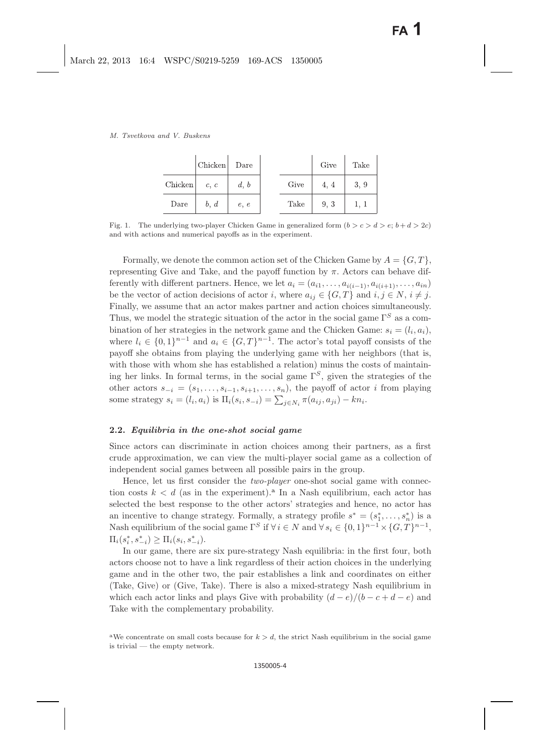#### *M. Tsvetkova and V. Buskens*

|         | Chicken | Dare |      | Give | Take |
|---------|---------|------|------|------|------|
| Chicken | c, c    | d, b | Give | 4, 4 | 3, 9 |
| Dare    | b, d    | e, e | Take | 9, 3 |      |

Fig. 1. The underlying two-player Chicken Game in generalized form  $(b > c > d > e; b + d > 2c)$ and with actions and numerical payoffs as in the experiment.

Formally, we denote the common action set of the Chicken Game by  $A = \{G, T\}$ , representing Give and Take, and the payoff function by  $\pi$ . Actors can behave differently with different partners. Hence, we let  $a_i = (a_{i1}, \ldots, a_{i(i-1)}, a_{i(i+1)}, \ldots, a_{in})$ be the vector of action decisions of actor *i*, where  $a_{ij} \in \{G, T\}$  and  $i, j \in N$ ,  $i \neq j$ . Finally, we assume that an actor makes partner and action choices simultaneously. Thus, we model the strategic situation of the actor in the social game Γ*<sup>S</sup>* as a combination of her strategies in the network game and the Chicken Game:  $s_i = (l_i, a_i)$ , where  $l_i \in \{0,1\}^{n-1}$  and  $a_i \in \{G,T\}^{n-1}$ . The actor's total payoff consists of the payoff she obtains from playing the underlying game with her neighbors (that is, with those with whom she has established a relation) minus the costs of maintaining her links. In formal terms, in the social game  $\Gamma^S$ , given the strategies of the other actors  $s_{-i} = (s_1, \ldots, s_{i-1}, s_{i+1}, \ldots, s_n)$ , the payoff of actor *i* from playing some strategy  $s_i = (l_i, a_i)$  is  $\Pi_i(s_i, s_{-i}) = \sum_{j \in N_i} \pi(a_{ij}, a_{ji}) - kn_i$ .

### **2.2.** *Equilibria in the one-shot social game*

Since actors can discriminate in action choices among their partners, as a first crude approximation, we can view the multi-player social game as a collection of independent social games between all possible pairs in the group.

Hence, let us first consider the *two-player* one-shot social game with connection costs  $k < d$  (as in the experiment).<sup>a</sup> In a Nash equilibrium, each actor has selected the best response to the other actors' strategies and hence, no actor has an incentive to change strategy. Formally, a strategy profile  $s^* = (s_1^*, \ldots, s_n^*)$  is a Nash equilibrium of the social game  $\Gamma^S$  if  $\forall i \in N$  and  $\forall s_i \in \{0,1\}^{n-1} \times \{G, T\}^{n-1}$ ,  $\Pi_i(s_i^*, s_{-i}^*) \geq \Pi_i(s_i, s_{-i}^*).$ 

In our game, there are six pure-strategy Nash equilibria: in the first four, both actors choose not to have a link regardless of their action choices in the underlying game and in the other two, the pair establishes a link and coordinates on either (Take, Give) or (Give, Take). There is also a mixed-strategy Nash equilibrium in which each actor links and plays Give with probability  $(d-e)/(b - c + d - e)$  and Take with the complementary probability.

<sup>&</sup>lt;sup>a</sup>We concentrate on small costs because for  $k>d$ , the strict Nash equilibrium in the social game is trivial — the empty network.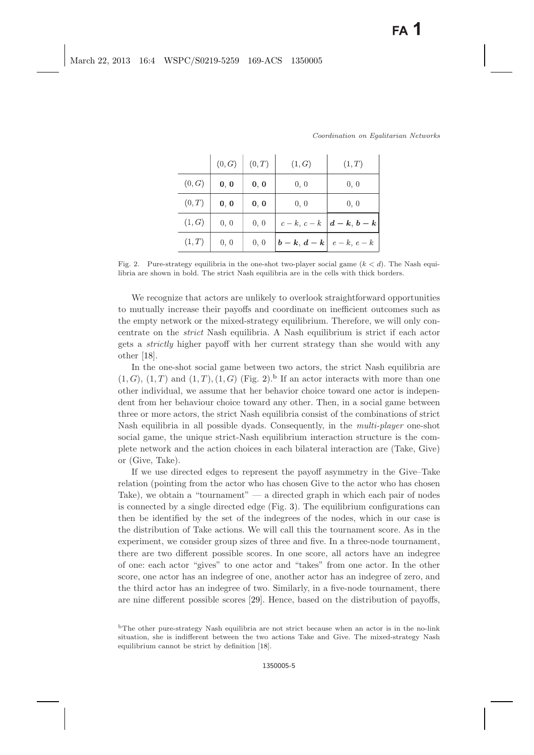|        | (0, G) | (0,T) | (1, G)                               | (1,T)                    |
|--------|--------|-------|--------------------------------------|--------------------------|
| (0, G) | 0, 0   | 0, 0  | 0, 0                                 | 0, 0                     |
| (0,T)  | 0, 0   | 0, 0  | 0, 0                                 | 0, 0                     |
| (1, G) | 0, 0   | 0, 0  |                                      | $c-k, c-k \mid d-k, b-k$ |
| (1,T)  | 0, 0   | 0, 0  | $\left b-k,\,d-k\right $ $e-k,\,e-k$ |                          |

Fig. 2. Pure-strategy equilibria in the one-shot two-player social game  $(k < d)$ . The Nash equilibria are shown in bold. The strict Nash equilibria are in the cells with thick borders.

We recognize that actors are unlikely to overlook straightforward opportunities to mutually increase their payoffs and coordinate on inefficient outcomes such as the empty network or the mixed-strategy equilibrium. Therefore, we will only concentrate on the *strict* Nash equilibria. A Nash equilibrium is strict if each actor gets a *strictly* higher payoff with her current strategy than she would with any other [18].

In the one-shot social game between two actors, the strict Nash equilibria are  $(1, G), (1, T)$  and  $(1, T), (1, G)$  (Fig. 2).<sup>b</sup> If an actor interacts with more than one other individual, we assume that her behavior choice toward one actor is independent from her behaviour choice toward any other. Then, in a social game between three or more actors, the strict Nash equilibria consist of the combinations of strict Nash equilibria in all possible dyads. Consequently, in the *multi-player* one-shot social game, the unique strict-Nash equilibrium interaction structure is the complete network and the action choices in each bilateral interaction are (Take, Give) or (Give, Take).

If we use directed edges to represent the payoff asymmetry in the Give–Take relation (pointing from the actor who has chosen Give to the actor who has chosen Take), we obtain a "tournament" — a directed graph in which each pair of nodes is connected by a single directed edge (Fig. 3). The equilibrium configurations can then be identified by the set of the indegrees of the nodes, which in our case is the distribution of Take actions. We will call this the tournament score. As in the experiment, we consider group sizes of three and five. In a three-node tournament, there are two different possible scores. In one score, all actors have an indegree of one: each actor "gives" to one actor and "takes" from one actor. In the other score, one actor has an indegree of one, another actor has an indegree of zero, and the third actor has an indegree of two. Similarly, in a five-node tournament, there are nine different possible scores [29]. Hence, based on the distribution of payoffs,

<sup>&</sup>lt;sup>b</sup>The other pure-strategy Nash equilibria are not strict because when an actor is in the no-link situation, she is indifferent between the two actions Take and Give. The mixed-strategy Nash equilibrium cannot be strict by definition [18].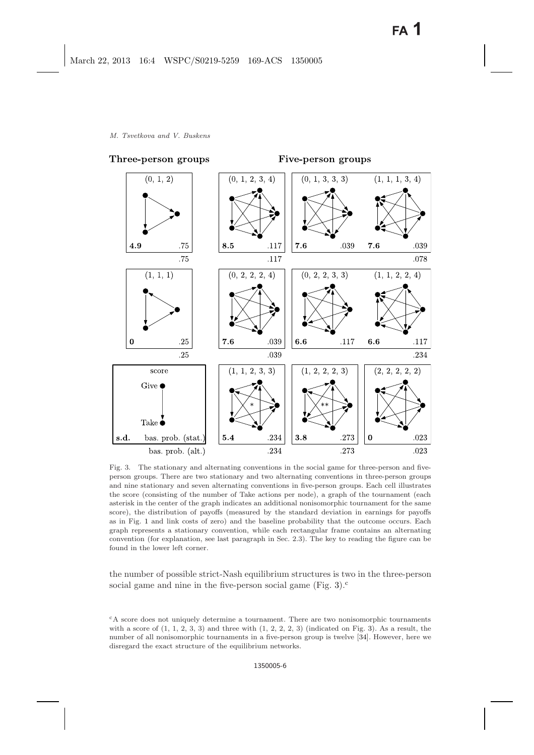

Fig. 3. The stationary and alternating conventions in the social game for three-person and fiveperson groups. There are two stationary and two alternating conventions in three-person groups and nine stationary and seven alternating conventions in five-person groups. Each cell illustrates the score (consisting of the number of Take actions per node), a graph of the tournament (each asterisk in the center of the graph indicates an additional nonisomorphic tournament for the same score), the distribution of payoffs (measured by the standard deviation in earnings for payoffs as in Fig. 1 and link costs of zero) and the baseline probability that the outcome occurs. Each graph represents a stationary convention, while each rectangular frame contains an alternating convention (for explanation, see last paragraph in Sec. 2.3). The key to reading the figure can be found in the lower left corner.

the number of possible strict-Nash equilibrium structures is two in the three-person social game and nine in the five-person social game  $(Fig. 3)$ .<sup>c</sup>

<sup>c</sup>A score does not uniquely determine a tournament. There are two nonisomorphic tournaments with a score of  $(1, 1, 2, 3, 3)$  and three with  $(1, 2, 2, 2, 3)$  (indicated on Fig. 3). As a result, the number of all nonisomorphic tournaments in a five-person group is twelve [34]. However, here we disregard the exact structure of the equilibrium networks.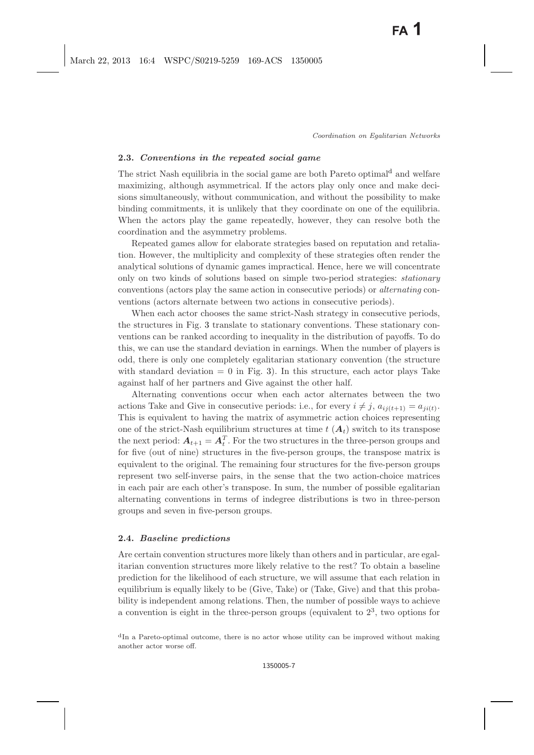### **2.3.** *Conventions in the repeated social game*

The strict Nash equilibria in the social game are both Pareto optimal<sup>d</sup> and welfare maximizing, although asymmetrical. If the actors play only once and make decisions simultaneously, without communication, and without the possibility to make binding commitments, it is unlikely that they coordinate on one of the equilibria. When the actors play the game repeatedly, however, they can resolve both the coordination and the asymmetry problems.

Repeated games allow for elaborate strategies based on reputation and retaliation. However, the multiplicity and complexity of these strategies often render the analytical solutions of dynamic games impractical. Hence, here we will concentrate only on two kinds of solutions based on simple two-period strategies: *stationary* conventions (actors play the same action in consecutive periods) or *alternating* conventions (actors alternate between two actions in consecutive periods).

When each actor chooses the same strict-Nash strategy in consecutive periods, the structures in Fig. 3 translate to stationary conventions. These stationary conventions can be ranked according to inequality in the distribution of payoffs. To do this, we can use the standard deviation in earnings. When the number of players is odd, there is only one completely egalitarian stationary convention (the structure with standard deviation  $= 0$  in Fig. 3). In this structure, each actor plays Take against half of her partners and Give against the other half.

Alternating conventions occur when each actor alternates between the two actions Take and Give in consecutive periods: i.e., for every  $i \neq j$ ,  $a_{ij(t+1)} = a_{ji(t)}$ . This is equivalent to having the matrix of asymmetric action choices representing one of the strict-Nash equilibrium structures at time  $t(\mathbf{A}_t)$  switch to its transpose the next period:  $A_{t+1} = A_t^T$ . For the two structures in the three-person groups and for five (out of nine) structures in the five-person groups, the transpose matrix is equivalent to the original. The remaining four structures for the five-person groups represent two self-inverse pairs, in the sense that the two action-choice matrices in each pair are each other's transpose. In sum, the number of possible egalitarian alternating conventions in terms of indegree distributions is two in three-person groups and seven in five-person groups.

### **2.4.** *Baseline predictions*

Are certain convention structures more likely than others and in particular, are egalitarian convention structures more likely relative to the rest? To obtain a baseline prediction for the likelihood of each structure, we will assume that each relation in equilibrium is equally likely to be (Give, Take) or (Take, Give) and that this probability is independent among relations. Then, the number of possible ways to achieve a convention is eight in the three-person groups (equivalent to  $2<sup>3</sup>$ , two options for

 $\rm{dIn}$  a Pareto-optimal outcome, there is no actor whose utility can be improved without making another actor worse off.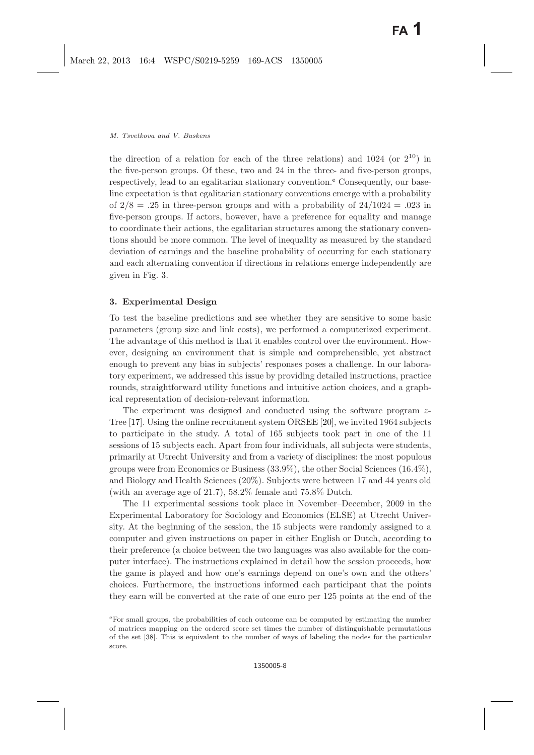the direction of a relation for each of the three relations) and  $1024$  (or  $2^{10}$ ) in the five-person groups. Of these, two and 24 in the three- and five-person groups, respectively, lead to an egalitarian stationary convention.<sup>e</sup> Consequently, our baseline expectation is that egalitarian stationary conventions emerge with a probability of  $2/8 = .25$  in three-person groups and with a probability of  $24/1024 = .023$  in five-person groups. If actors, however, have a preference for equality and manage to coordinate their actions, the egalitarian structures among the stationary conventions should be more common. The level of inequality as measured by the standard deviation of earnings and the baseline probability of occurring for each stationary and each alternating convention if directions in relations emerge independently are given in Fig. 3.

## **3. Experimental Design**

To test the baseline predictions and see whether they are sensitive to some basic parameters (group size and link costs), we performed a computerized experiment. The advantage of this method is that it enables control over the environment. However, designing an environment that is simple and comprehensible, yet abstract enough to prevent any bias in subjects' responses poses a challenge. In our laboratory experiment, we addressed this issue by providing detailed instructions, practice rounds, straightforward utility functions and intuitive action choices, and a graphical representation of decision-relevant information.

The experiment was designed and conducted using the software program z-Tree [17]. Using the online recruitment system ORSEE [20], we invited 1964 subjects to participate in the study. A total of 165 subjects took part in one of the 11 sessions of 15 subjects each. Apart from four individuals, all subjects were students, primarily at Utrecht University and from a variety of disciplines: the most populous groups were from Economics or Business (33.9%), the other Social Sciences (16.4%), and Biology and Health Sciences (20%). Subjects were between 17 and 44 years old (with an average age of 21.7), 58.2% female and 75.8% Dutch.

The 11 experimental sessions took place in November–December, 2009 in the Experimental Laboratory for Sociology and Economics (ELSE) at Utrecht University. At the beginning of the session, the 15 subjects were randomly assigned to a computer and given instructions on paper in either English or Dutch, according to their preference (a choice between the two languages was also available for the computer interface). The instructions explained in detail how the session proceeds, how the game is played and how one's earnings depend on one's own and the others' choices. Furthermore, the instructions informed each participant that the points they earn will be converted at the rate of one euro per 125 points at the end of the

<sup>e</sup>For small groups, the probabilities of each outcome can be computed by estimating the number of matrices mapping on the ordered score set times the number of distinguishable permutations of the set [38]. This is equivalent to the number of ways of labeling the nodes for the particular score.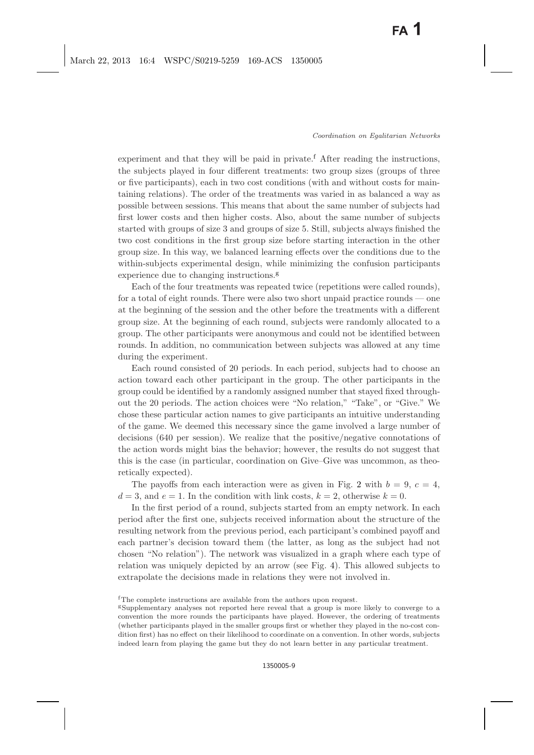experiment and that they will be paid in private. $f$  After reading the instructions, the subjects played in four different treatments: two group sizes (groups of three or five participants), each in two cost conditions (with and without costs for maintaining relations). The order of the treatments was varied in as balanced a way as possible between sessions. This means that about the same number of subjects had first lower costs and then higher costs. Also, about the same number of subjects started with groups of size 3 and groups of size 5. Still, subjects always finished the two cost conditions in the first group size before starting interaction in the other group size. In this way, we balanced learning effects over the conditions due to the within-subjects experimental design, while minimizing the confusion participants experience due to changing instructions. $\mathbf{g}$ 

Each of the four treatments was repeated twice (repetitions were called rounds), for a total of eight rounds. There were also two short unpaid practice rounds — one at the beginning of the session and the other before the treatments with a different group size. At the beginning of each round, subjects were randomly allocated to a group. The other participants were anonymous and could not be identified between rounds. In addition, no communication between subjects was allowed at any time during the experiment.

Each round consisted of 20 periods. In each period, subjects had to choose an action toward each other participant in the group. The other participants in the group could be identified by a randomly assigned number that stayed fixed throughout the 20 periods. The action choices were "No relation," "Take", or "Give." We chose these particular action names to give participants an intuitive understanding of the game. We deemed this necessary since the game involved a large number of decisions (640 per session). We realize that the positive/negative connotations of the action words might bias the behavior; however, the results do not suggest that this is the case (in particular, coordination on Give–Give was uncommon, as theoretically expected).

The payoffs from each interaction were as given in Fig. 2 with  $b = 9$ ,  $c = 4$ ,  $d = 3$ , and  $e = 1$ . In the condition with link costs,  $k = 2$ , otherwise  $k = 0$ .

In the first period of a round, subjects started from an empty network. In each period after the first one, subjects received information about the structure of the resulting network from the previous period, each participant's combined payoff and each partner's decision toward them (the latter, as long as the subject had not chosen "No relation"). The network was visualized in a graph where each type of relation was uniquely depicted by an arrow (see Fig. 4). This allowed subjects to extrapolate the decisions made in relations they were not involved in.

<sup>f</sup>The complete instructions are available from the authors upon request.

<sup>g</sup>Supplementary analyses not reported here reveal that a group is more likely to converge to a convention the more rounds the participants have played. However, the ordering of treatments (whether participants played in the smaller groups first or whether they played in the no-cost condition first) has no effect on their likelihood to coordinate on a convention. In other words, subjects indeed learn from playing the game but they do not learn better in any particular treatment.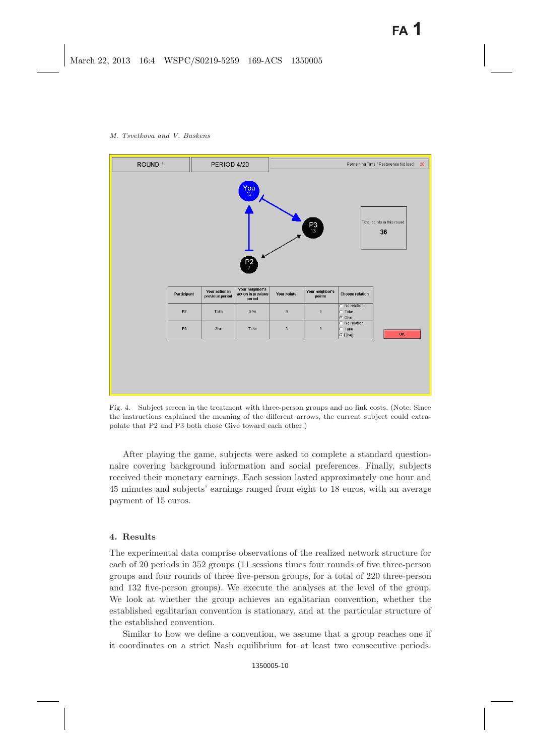| ROUND <sub>1</sub> |                | PERIOD 4/20                       |                                                 |             |                           |                                         | Remaining Time / Resterende tijd [sec]: 20 |
|--------------------|----------------|-----------------------------------|-------------------------------------------------|-------------|---------------------------|-----------------------------------------|--------------------------------------------|
|                    |                |                                   | $\frac{Y_{\text{OU}}}{12}$<br>$P_7^2$           |             | $\frac{P3}{13}$           |                                         | Total points in this round:<br>36          |
|                    | Participant    | Your action in<br>previous period | Your neighbor's<br>action in previous<br>period | Your points | Your neighbor's<br>points | <b>Choose relation</b>                  |                                            |
|                    | P2             | Take                              | Give                                            | $\mathsf g$ | $\sqrt{3}$                | C No relation<br>C Take<br>$G$ Give     |                                            |
|                    | P <sub>3</sub> | Give                              | Take                                            | $\sqrt{3}$  | $\boldsymbol{9}$          | C No relation<br>C Take<br>$\odot$ Give | OK                                         |
|                    |                |                                   |                                                 |             |                           |                                         |                                            |
|                    |                |                                   |                                                 |             |                           |                                         |                                            |

Fig. 4. Subject screen in the treatment with three-person groups and no link costs. (Note: Since the instructions explained the meaning of the different arrows, the current subject could extrapolate that P2 and P3 both chose Give toward each other.)

After playing the game, subjects were asked to complete a standard questionnaire covering background information and social preferences. Finally, subjects received their monetary earnings. Each session lasted approximately one hour and 45 minutes and subjects' earnings ranged from eight to 18 euros, with an average payment of 15 euros.

## **4. Results**

The experimental data comprise observations of the realized network structure for each of 20 periods in 352 groups (11 sessions times four rounds of five three-person groups and four rounds of three five-person groups, for a total of 220 three-person and 132 five-person groups). We execute the analyses at the level of the group. We look at whether the group achieves an egalitarian convention, whether the established egalitarian convention is stationary, and at the particular structure of the established convention.

Similar to how we define a convention, we assume that a group reaches one if it coordinates on a strict Nash equilibrium for at least two consecutive periods.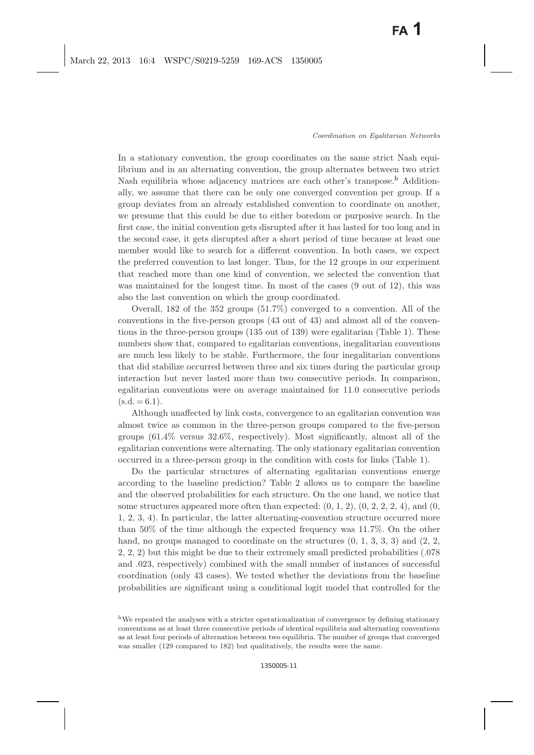In a stationary convention, the group coordinates on the same strict Nash equilibrium and in an alternating convention, the group alternates between two strict Nash equilibria whose adjacency matrices are each other's transpose.<sup>h</sup> Additionally, we assume that there can be only one converged convention per group. If a group deviates from an already established convention to coordinate on another, we presume that this could be due to either boredom or purposive search. In the first case, the initial convention gets disrupted after it has lasted for too long and in the second case, it gets disrupted after a short period of time because at least one member would like to search for a different convention. In both cases, we expect the preferred convention to last longer. Thus, for the 12 groups in our experiment that reached more than one kind of convention, we selected the convention that was maintained for the longest time. In most of the cases (9 out of 12), this was also the last convention on which the group coordinated.

Overall, 182 of the 352 groups (51.7%) converged to a convention. All of the conventions in the five-person groups (43 out of 43) and almost all of the conventions in the three-person groups (135 out of 139) were egalitarian (Table 1). These numbers show that, compared to egalitarian conventions, inegalitarian conventions are much less likely to be stable. Furthermore, the four inegalitarian conventions that did stabilize occurred between three and six times during the particular group interaction but never lasted more than two consecutive periods. In comparison, egalitarian conventions were on average maintained for 11.0 consecutive periods  $(s.d. = 6.1).$ 

Although unaffected by link costs, convergence to an egalitarian convention was almost twice as common in the three-person groups compared to the five-person groups (61.4% versus 32.6%, respectively). Most significantly, almost all of the egalitarian conventions were alternating. The only stationary egalitarian convention occurred in a three-person group in the condition with costs for links (Table 1).

Do the particular structures of alternating egalitarian conventions emerge according to the baseline prediction? Table 2 allows us to compare the baseline and the observed probabilities for each structure. On the one hand, we notice that some structures appeared more often than expected:  $(0, 1, 2)$ ,  $(0, 2, 2, 2, 4)$ , and  $(0, 1, 2)$ 1, 2, 3, 4). In particular, the latter alternating-convention structure occurred more than 50% of the time although the expected frequency was 11.7%. On the other hand, no groups managed to coordinate on the structures  $(0, 1, 3, 3, 3)$  and  $(2, 2, 3)$ 2, 2, 2) but this might be due to their extremely small predicted probabilities (.078 and .023, respectively) combined with the small number of instances of successful coordination (only 43 cases). We tested whether the deviations from the baseline probabilities are significant using a conditional logit model that controlled for the

<sup>h</sup>We repeated the analyses with a stricter operationalization of convergence by defining stationary conventions as at least three consecutive periods of identical equilibria and alternating conventions as at least four periods of alternation between two equilibria. The number of groups that converged was smaller (129 compared to 182) but qualitatively, the results were the same.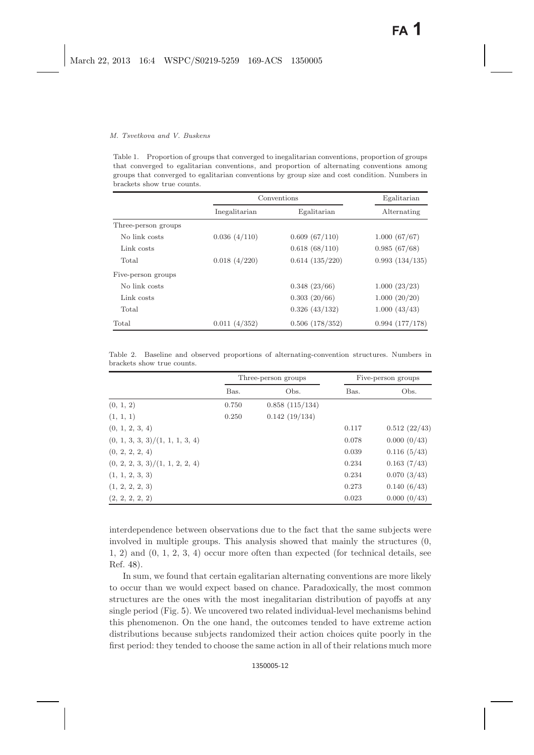#### *M. Tsvetkova and V. Buskens*

| groups that converged to egailtarian conventions by group size and cost condition. Numbers in<br>brackets show true counts. |               |                |                |  |  |  |  |
|-----------------------------------------------------------------------------------------------------------------------------|---------------|----------------|----------------|--|--|--|--|
|                                                                                                                             | Conventions   | Egalitarian    |                |  |  |  |  |
|                                                                                                                             | Inegalitarian | Egalitarian    | Alternating    |  |  |  |  |
| Three-person groups                                                                                                         |               |                |                |  |  |  |  |
| No link costs                                                                                                               | 0.036(4/110)  | 0.609(67/110)  | 1.000(67/67)   |  |  |  |  |
| Link costs                                                                                                                  |               | 0.618~(68/110) | 0.985(67/68)   |  |  |  |  |
| Total                                                                                                                       | 0.018(4/220)  | 0.614(135/220) | 0.993(134/135) |  |  |  |  |
| Five-person groups                                                                                                          |               |                |                |  |  |  |  |
| No link costs                                                                                                               |               | 0.348(23/66)   | 1.000(23/23)   |  |  |  |  |

Table 1. Proportion of groups that converged to inegalitarian conventions, proportion of groups that converged to egalitarian conventions, and proportion of alternating conventions among<br>groups that converged to egalitarian conventions by group size and sect condition. Numbers in groups that converged to egalitarian conventions by group size and cost condition. Numbers in

Table 2. Baseline and observed proportions of alternating-convention structures. Numbers in brackets show true counts.

Link costs 0.303 (20/66) 1.000 (20/20) Total 0.326 (43/132) 1.000 (43/43) Total 0.011 (4/352) 0.506 (178/352) 0.994 (177/178)

|                                 | Three-person groups |                |       | Five-person groups |
|---------------------------------|---------------------|----------------|-------|--------------------|
|                                 | Bas.                | Obs.           | Bas.  | Obs.               |
| (0, 1, 2)                       | 0.750               | 0.858(115/134) |       |                    |
| (1, 1, 1)                       | 0.250               | 0.142(19/134)  |       |                    |
| (0, 1, 2, 3, 4)                 |                     |                | 0.117 | 0.512(22/43)       |
| (0, 1, 3, 3, 3)/(1, 1, 1, 3, 4) |                     |                | 0.078 | 0.000(0/43)        |
| (0, 2, 2, 2, 4)                 |                     |                | 0.039 | 0.116(5/43)        |
| (0, 2, 2, 3, 3)/(1, 1, 2, 2, 4) |                     |                | 0.234 | 0.163(7/43)        |
| (1, 1, 2, 3, 3)                 |                     |                | 0.234 | 0.070~(3/43)       |
| (1, 2, 2, 2, 3)                 |                     |                | 0.273 | 0.140(6/43)        |
| (2, 2, 2, 2, 2)                 |                     |                | 0.023 | 0.000~(0/43)       |

interdependence between observations due to the fact that the same subjects were involved in multiple groups. This analysis showed that mainly the structures (0, 1, 2) and (0, 1, 2, 3, 4) occur more often than expected (for technical details, see Ref. 48).

In sum, we found that certain egalitarian alternating conventions are more likely to occur than we would expect based on chance. Paradoxically, the most common structures are the ones with the most inegalitarian distribution of payoffs at any single period (Fig. 5). We uncovered two related individual-level mechanisms behind this phenomenon. On the one hand, the outcomes tended to have extreme action distributions because subjects randomized their action choices quite poorly in the first period: they tended to choose the same action in all of their relations much more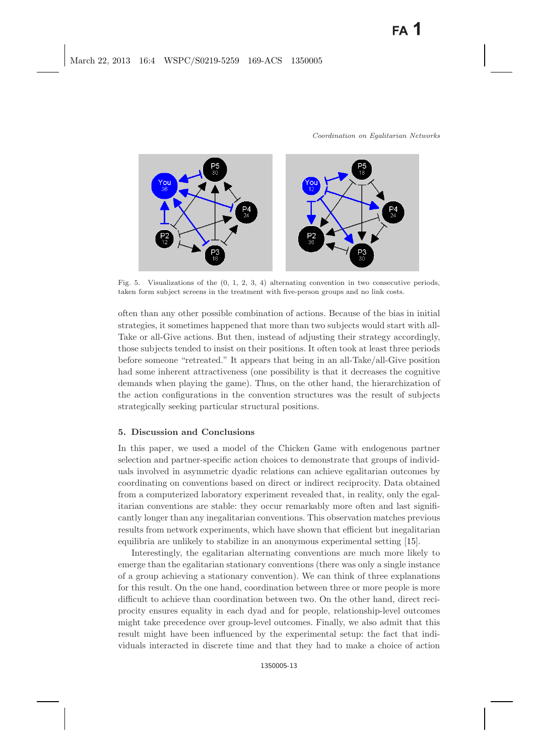

Fig. 5. Visualizations of the  $(0, 1, 2, 3, 4)$  alternating convention in two consecutive periods, taken form subject screens in the treatment with five-person groups and no link costs.

often than any other possible combination of actions. Because of the bias in initial strategies, it sometimes happened that more than two subjects would start with all-Take or all-Give actions. But then, instead of adjusting their strategy accordingly, those subjects tended to insist on their positions. It often took at least three periods before someone "retreated." It appears that being in an all-Take/all-Give position had some inherent attractiveness (one possibility is that it decreases the cognitive demands when playing the game). Thus, on the other hand, the hierarchization of the action configurations in the convention structures was the result of subjects strategically seeking particular structural positions.

## **5. Discussion and Conclusions**

In this paper, we used a model of the Chicken Game with endogenous partner selection and partner-specific action choices to demonstrate that groups of individuals involved in asymmetric dyadic relations can achieve egalitarian outcomes by coordinating on conventions based on direct or indirect reciprocity. Data obtained from a computerized laboratory experiment revealed that, in reality, only the egalitarian conventions are stable: they occur remarkably more often and last significantly longer than any inegalitarian conventions. This observation matches previous results from network experiments, which have shown that efficient but inegalitarian equilibria are unlikely to stabilize in an anonymous experimental setting [15].

Interestingly, the egalitarian alternating conventions are much more likely to emerge than the egalitarian stationary conventions (there was only a single instance of a group achieving a stationary convention). We can think of three explanations for this result. On the one hand, coordination between three or more people is more difficult to achieve than coordination between two. On the other hand, direct reciprocity ensures equality in each dyad and for people, relationship-level outcomes might take precedence over group-level outcomes. Finally, we also admit that this result might have been influenced by the experimental setup: the fact that individuals interacted in discrete time and that they had to make a choice of action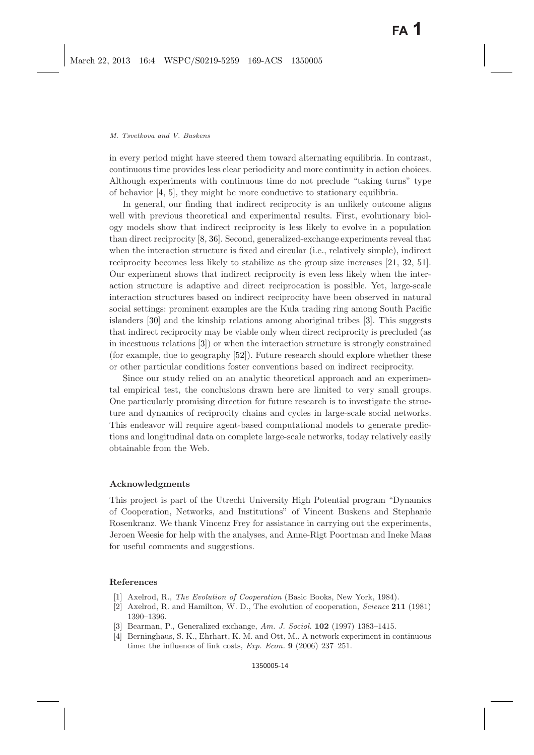in every period might have steered them toward alternating equilibria. In contrast, continuous time provides less clear periodicity and more continuity in action choices. Although experiments with continuous time do not preclude "taking turns" type of behavior [4, 5], they might be more conductive to stationary equilibria.

In general, our finding that indirect reciprocity is an unlikely outcome aligns well with previous theoretical and experimental results. First, evolutionary biology models show that indirect reciprocity is less likely to evolve in a population than direct reciprocity [8, 36]. Second, generalized-exchange experiments reveal that when the interaction structure is fixed and circular (i.e., relatively simple), indirect reciprocity becomes less likely to stabilize as the group size increases [21, 32, 51]. Our experiment shows that indirect reciprocity is even less likely when the interaction structure is adaptive and direct reciprocation is possible. Yet, large-scale interaction structures based on indirect reciprocity have been observed in natural social settings: prominent examples are the Kula trading ring among South Pacific islanders [30] and the kinship relations among aboriginal tribes [3]. This suggests that indirect reciprocity may be viable only when direct reciprocity is precluded (as in incestuous relations [3]) or when the interaction structure is strongly constrained (for example, due to geography [52]). Future research should explore whether these or other particular conditions foster conventions based on indirect reciprocity.

Since our study relied on an analytic theoretical approach and an experimental empirical test, the conclusions drawn here are limited to very small groups. One particularly promising direction for future research is to investigate the structure and dynamics of reciprocity chains and cycles in large-scale social networks. This endeavor will require agent-based computational models to generate predictions and longitudinal data on complete large-scale networks, today relatively easily obtainable from the Web.

### **Acknowledgments**

This project is part of the Utrecht University High Potential program "Dynamics of Cooperation, Networks, and Institutions" of Vincent Buskens and Stephanie Rosenkranz. We thank Vincenz Frey for assistance in carrying out the experiments, Jeroen Weesie for help with the analyses, and Anne-Rigt Poortman and Ineke Maas for useful comments and suggestions.

### **References**

- [1] Axelrod, R., *The Evolution of Cooperation* (Basic Books, New York, 1984).
- [2] Axelrod, R. and Hamilton, W. D., The evolution of cooperation, *Science* **211** (1981) 1390–1396.
- [3] Bearman, P., Generalized exchange, *Am. J. Sociol.* **102** (1997) 1383–1415.
- [4] Berninghaus, S. K., Ehrhart, K. M. and Ott, M., A network experiment in continuous time: the influence of link costs, *Exp. Econ.* **9** (2006) 237–251.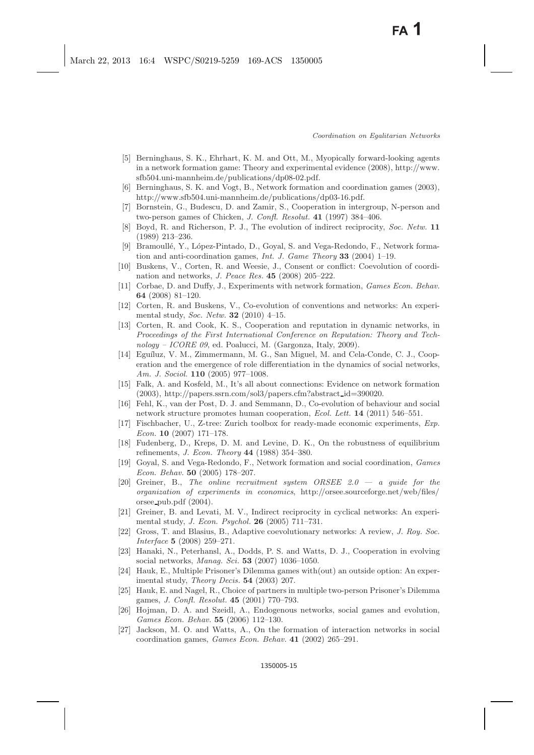- [5] Berninghaus, S. K., Ehrhart, K. M. and Ott, M., Myopically forward-looking agents in a network formation game: Theory and experimental evidence (2008), http://www. sfb504.uni-mannheim.de/publications/dp08-02.pdf.
- [6] Berninghaus, S. K. and Vogt, B., Network formation and coordination games (2003), http://www.sfb504.uni-mannheim.de/publications/dp03-16.pdf.
- [7] Bornstein, G., Budescu, D. and Zamir, S., Cooperation in intergroup, N-person and two-person games of Chicken, *J. Confl. Resolut.* **41** (1997) 384–406.
- [8] Boyd, R. and Richerson, P. J., The evolution of indirect reciprocity, *Soc. Netw.* **11** (1989) 213–236.
- [9] Bramoullé, Y., López-Pintado, D., Goyal, S. and Vega-Redondo, F., Network formation and anti-coordination games, *Int. J. Game Theory* **33** (2004) 1–19.
- [10] Buskens, V., Corten, R. and Weesie, J., Consent or conflict: Coevolution of coordination and networks, *J. Peace Res.* **45** (2008) 205–222.
- [11] Corbae, D. and Duffy, J., Experiments with network formation, *Games Econ. Behav.* **64** (2008) 81–120.
- [12] Corten, R. and Buskens, V., Co-evolution of conventions and networks: An experimental study, *Soc. Netw.* **32** (2010) 4–15.
- [13] Corten, R. and Cook, K. S., Cooperation and reputation in dynamic networks, in *Proceedings of the First International Conference on Reputation: Theory and Technology – ICORE 09*, ed. Poalucci, M. (Gargonza, Italy, 2009).
- [14] Eguíluz, V. M., Zimmermann, M. G., San Miguel, M. and Cela-Conde, C. J., Cooperation and the emergence of role differentiation in the dynamics of social networks, *Am. J. Sociol.* **110** (2005) 977–1008.
- [15] Falk, A. and Kosfeld, M., It's all about connections: Evidence on network formation (2003), http://papers.ssrn.com/sol3/papers.cfm?abstract id=390020.
- [16] Fehl, K., van der Post, D. J. and Semmann, D., Co-evolution of behaviour and social network structure promotes human cooperation, *Ecol. Lett.* **14** (2011) 546–551.
- [17] Fischbacher, U., Z-tree: Zurich toolbox for ready-made economic experiments, *Exp. Econ.* **10** (2007) 171–178.
- [18] Fudenberg, D., Kreps, D. M. and Levine, D. K., On the robustness of equilibrium refinements, *J. Econ. Theory* **44** (1988) 354–380.
- [19] Goyal, S. and Vega-Redondo, F., Network formation and social coordination, *Games Econ. Behav.* **50** (2005) 178–207.
- [20] Greiner, B., *The online recruitment system ORSEE 2.0 a guide for the organization of experiments in economics*, http://orsee.sourceforge.net/web/files/ orsee pub.pdf (2004).
- [21] Greiner, B. and Levati, M. V., Indirect reciprocity in cyclical networks: An experimental study, *J. Econ. Psychol.* **26** (2005) 711–731.
- [22] Gross, T. and Blasius, B., Adaptive coevolutionary networks: A review, *J. Roy. Soc. Interface* **5** (2008) 259–271.
- [23] Hanaki, N., Peterhansl, A., Dodds, P. S. and Watts, D. J., Cooperation in evolving social networks, *Manag. Sci.* **53** (2007) 1036–1050.
- [24] Hauk, E., Multiple Prisoner's Dilemma games with(out) an outside option: An experimental study, *Theory Decis.* **54** (2003) 207.
- [25] Hauk, E. and Nagel, R., Choice of partners in multiple two-person Prisoner's Dilemma games, *J. Confl. Resolut.* **45** (2001) 770–793.
- [26] Hojman, D. A. and Szeidl, A., Endogenous networks, social games and evolution, *Games Econ. Behav.* **55** (2006) 112–130.
- [27] Jackson, M. O. and Watts, A., On the formation of interaction networks in social coordination games, *Games Econ. Behav.* **41** (2002) 265–291.